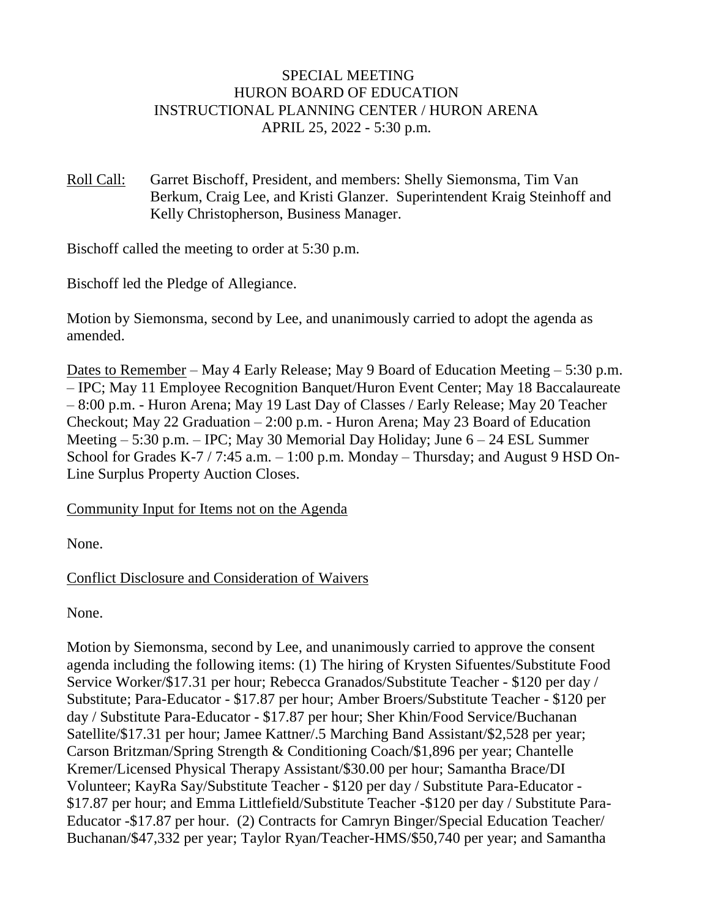### SPECIAL MEETING HURON BOARD OF EDUCATION INSTRUCTIONAL PLANNING CENTER / HURON ARENA APRIL 25, 2022 - 5:30 p.m.

Roll Call: Garret Bischoff, President, and members: Shelly Siemonsma, Tim Van Berkum, Craig Lee, and Kristi Glanzer. Superintendent Kraig Steinhoff and Kelly Christopherson, Business Manager.

Bischoff called the meeting to order at 5:30 p.m.

Bischoff led the Pledge of Allegiance.

Motion by Siemonsma, second by Lee, and unanimously carried to adopt the agenda as amended.

Dates to Remember – May 4 Early Release; May 9 Board of Education Meeting – 5:30 p.m. – IPC; May 11 Employee Recognition Banquet/Huron Event Center; May 18 Baccalaureate – 8:00 p.m. - Huron Arena; May 19 Last Day of Classes / Early Release; May 20 Teacher Checkout; May 22 Graduation – 2:00 p.m. - Huron Arena; May 23 Board of Education Meeting – 5:30 p.m. – IPC; May 30 Memorial Day Holiday; June 6 – 24 ESL Summer School for Grades K-7 / 7:45 a.m. – 1:00 p.m. Monday – Thursday; and August 9 HSD On-Line Surplus Property Auction Closes.

#### Community Input for Items not on the Agenda

None.

## Conflict Disclosure and Consideration of Waivers

None.

Motion by Siemonsma, second by Lee, and unanimously carried to approve the consent agenda including the following items: (1) The hiring of Krysten Sifuentes/Substitute Food Service Worker/\$17.31 per hour; Rebecca Granados/Substitute Teacher - \$120 per day / Substitute; Para-Educator - \$17.87 per hour; Amber Broers/Substitute Teacher - \$120 per day / Substitute Para-Educator - \$17.87 per hour; Sher Khin/Food Service/Buchanan Satellite/\$17.31 per hour; Jamee Kattner/.5 Marching Band Assistant/\$2,528 per year; Carson Britzman/Spring Strength & Conditioning Coach/\$1,896 per year; Chantelle Kremer/Licensed Physical Therapy Assistant/\$30.00 per hour; Samantha Brace/DI Volunteer; KayRa Say/Substitute Teacher - \$120 per day / Substitute Para-Educator - \$17.87 per hour; and Emma Littlefield/Substitute Teacher -\$120 per day / Substitute Para-Educator -\$17.87 per hour. (2) Contracts for Camryn Binger/Special Education Teacher/ Buchanan/\$47,332 per year; Taylor Ryan/Teacher-HMS/\$50,740 per year; and Samantha